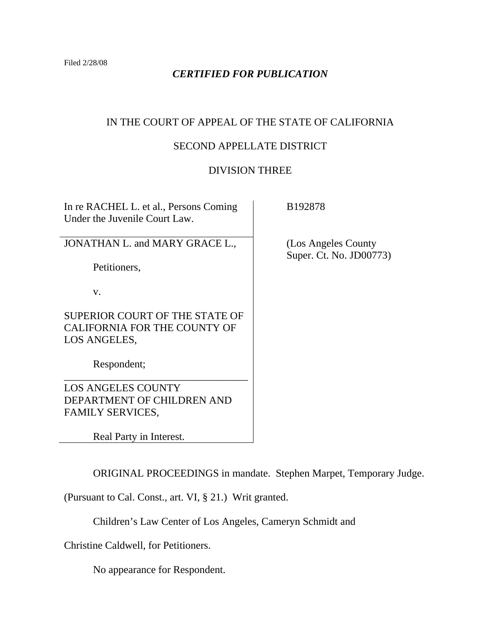Filed 2/28/08

## *CERTIFIED FOR PUBLICATION*

# IN THE COURT OF APPEAL OF THE STATE OF CALIFORNIA

## SECOND APPELLATE DISTRICT

## DIVISION THREE

No. JD00773)

| In re RACHEL L. et al., Persons Coming<br>Under the Juvenile Court Law.        | B192878                                      |
|--------------------------------------------------------------------------------|----------------------------------------------|
| JONATHAN L. and MARY GRACE L.,                                                 | (Los Angeles County)<br>Super. Ct. No. JD007 |
| Petitioners,                                                                   |                                              |
| V.                                                                             |                                              |
| SUPERIOR COURT OF THE STATE OF<br>CALIFORNIA FOR THE COUNTY OF<br>LOS ANGELES, |                                              |
| Respondent;                                                                    |                                              |
| <b>LOS ANGELES COUNTY</b>                                                      |                                              |
| DEPARTMENT OF CHILDREN AND                                                     |                                              |
| <b>FAMILY SERVICES,</b>                                                        |                                              |
| Real Party in Interest.                                                        |                                              |

ORIGINAL PROCEEDINGS in mandate. Stephen Marpet, Temporary Judge.

(Pursuant to Cal. Const., art. VI, § 21.) Writ granted.

Children's Law Center of Los Angeles, Cameryn Schmidt and

Christine Caldwell, for Petitioners.

No appearance for Respondent.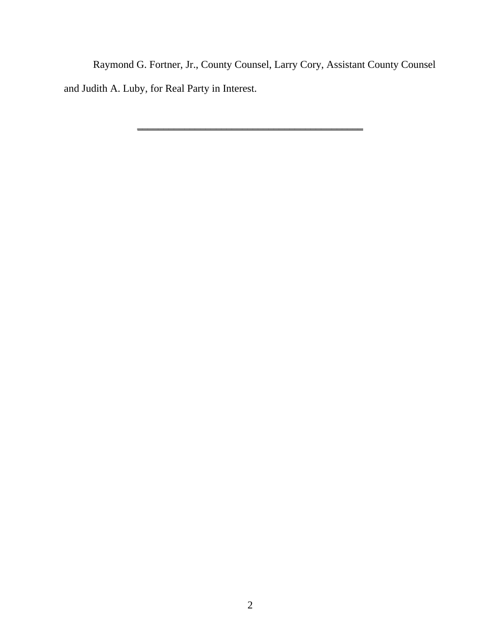Raymond G. Fortner, Jr., County Counsel, Larry Cory, Assistant County Counsel and Judith A. Luby, for Real Party in Interest.

**\_\_\_\_\_\_\_\_\_\_\_\_\_\_\_\_\_\_\_\_\_\_\_\_\_\_\_\_\_\_\_\_\_\_\_\_\_\_\_\_\_\_\_**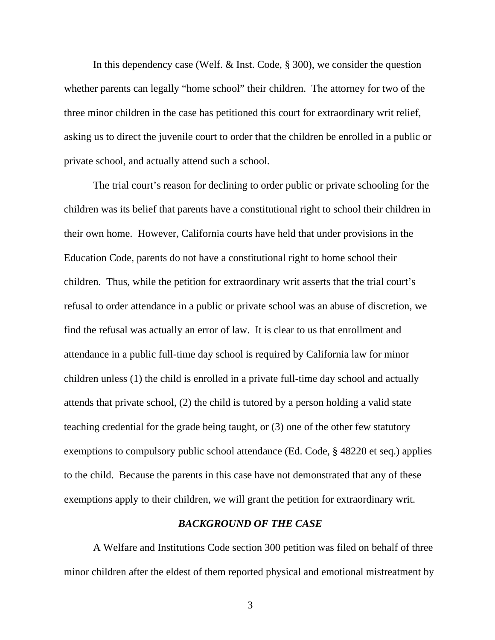In this dependency case (Welf. & Inst. Code, § 300), we consider the question whether parents can legally "home school" their children. The attorney for two of the three minor children in the case has petitioned this court for extraordinary writ relief, asking us to direct the juvenile court to order that the children be enrolled in a public or private school, and actually attend such a school.

 The trial court's reason for declining to order public or private schooling for the children was its belief that parents have a constitutional right to school their children in their own home. However, California courts have held that under provisions in the Education Code, parents do not have a constitutional right to home school their children. Thus, while the petition for extraordinary writ asserts that the trial court's refusal to order attendance in a public or private school was an abuse of discretion, we find the refusal was actually an error of law. It is clear to us that enrollment and attendance in a public full-time day school is required by California law for minor children unless (1) the child is enrolled in a private full-time day school and actually attends that private school, (2) the child is tutored by a person holding a valid state teaching credential for the grade being taught, or (3) one of the other few statutory exemptions to compulsory public school attendance (Ed. Code, § 48220 et seq.) applies to the child. Because the parents in this case have not demonstrated that any of these exemptions apply to their children, we will grant the petition for extraordinary writ.

### *BACKGROUND OF THE CASE*

 A Welfare and Institutions Code section 300 petition was filed on behalf of three minor children after the eldest of them reported physical and emotional mistreatment by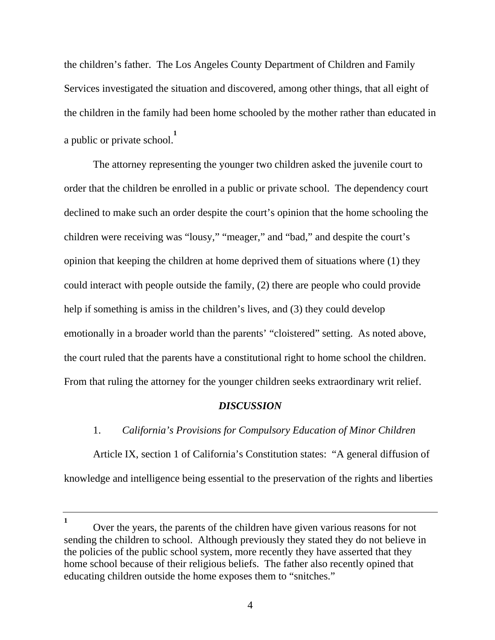the children's father. The Los Angeles County Department of Children and Family Services investigated the situation and discovered, among other things, that all eight of the children in the family had been home schooled by the mother rather than educated in a public or private school. **1**

 The attorney representing the younger two children asked the juvenile court to order that the children be enrolled in a public or private school. The dependency court declined to make such an order despite the court's opinion that the home schooling the children were receiving was "lousy," "meager," and "bad," and despite the court's opinion that keeping the children at home deprived them of situations where (1) they could interact with people outside the family, (2) there are people who could provide help if something is amiss in the children's lives, and (3) they could develop emotionally in a broader world than the parents' "cloistered" setting. As noted above, the court ruled that the parents have a constitutional right to home school the children. From that ruling the attorney for the younger children seeks extraordinary writ relief.

#### *DISCUSSION*

## 1. *California's Provisions for Compulsory Education of Minor Children*

 Article IX, section 1 of California's Constitution states: "A general diffusion of knowledge and intelligence being essential to the preservation of the rights and liberties

**<sup>1</sup>** Over the years, the parents of the children have given various reasons for not sending the children to school. Although previously they stated they do not believe in the policies of the public school system, more recently they have asserted that they home school because of their religious beliefs. The father also recently opined that educating children outside the home exposes them to "snitches."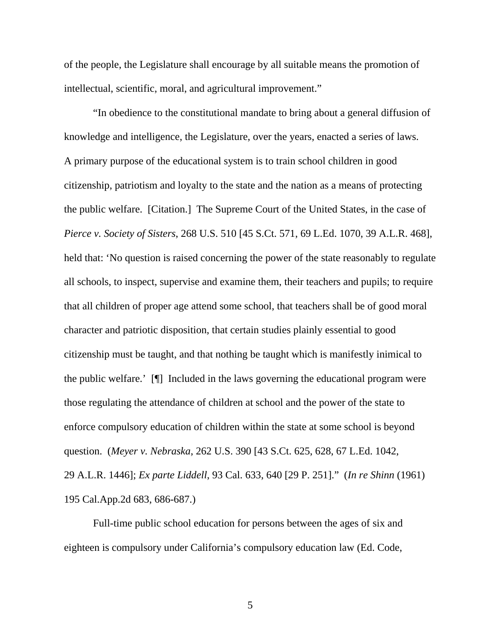of the people, the Legislature shall encourage by all suitable means the promotion of intellectual, scientific, moral, and agricultural improvement."

 "In obedience to the constitutional mandate to bring about a general diffusion of knowledge and intelligence, the Legislature, over the years, enacted a series of laws. A primary purpose of the educational system is to train school children in good citizenship, patriotism and loyalty to the state and the nation as a means of protecting the public welfare. [Citation.] The Supreme Court of the United States, in the case of *Pierce v. Society of Sisters*, 268 U.S. 510 [45 S.Ct. 571, 69 L.Ed. 1070, 39 A.L.R. 468], held that: 'No question is raised concerning the power of the state reasonably to regulate all schools, to inspect, supervise and examine them, their teachers and pupils; to require that all children of proper age attend some school, that teachers shall be of good moral character and patriotic disposition, that certain studies plainly essential to good citizenship must be taught, and that nothing be taught which is manifestly inimical to the public welfare.' [¶] Included in the laws governing the educational program were those regulating the attendance of children at school and the power of the state to enforce compulsory education of children within the state at some school is beyond question. (*Meyer v. Nebraska*, 262 U.S. 390 [43 S.Ct. 625, 628, 67 L.Ed. 1042, 29 A.L.R. 1446]; *Ex parte Liddell*, 93 Cal. 633, 640 [29 P. 251]." (*In re Shinn* (1961) 195 Cal.App.2d 683, 686-687.)

 Full-time public school education for persons between the ages of six and eighteen is compulsory under California's compulsory education law (Ed. Code,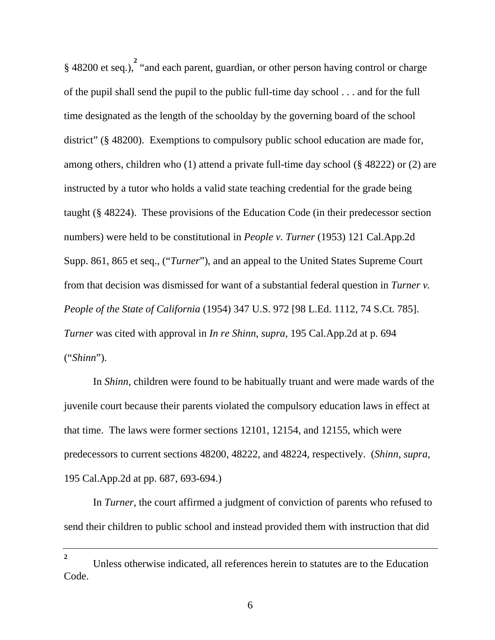§ 48200 et seq.), <sup>2</sup> "and each parent, guardian, or other person having control or charge of the pupil shall send the pupil to the public full-time day school . . . and for the full time designated as the length of the schoolday by the governing board of the school district" (§ 48200). Exemptions to compulsory public school education are made for, among others, children who (1) attend a private full-time day school (§ 48222) or (2) are instructed by a tutor who holds a valid state teaching credential for the grade being taught (§ 48224). These provisions of the Education Code (in their predecessor section numbers) were held to be constitutional in *People v. Turner* (1953) 121 Cal.App.2d Supp. 861, 865 et seq., ("*Turner*"), and an appeal to the United States Supreme Court from that decision was dismissed for want of a substantial federal question in *Turner v. People of the State of California* (1954) 347 U.S. 972 [98 L.Ed. 1112, 74 S.Ct. 785]. *Turner* was cited with approval in *In re Shinn*, *supra*, 195 Cal.App.2d at p. 694 ("*Shinn*").

 In *Shinn*, children were found to be habitually truant and were made wards of the juvenile court because their parents violated the compulsory education laws in effect at that time. The laws were former sections 12101, 12154, and 12155, which were predecessors to current sections 48200, 48222, and 48224, respectively. (*Shinn*, *supra*, 195 Cal.App.2d at pp. 687, 693-694.)

 In *Turner*, the court affirmed a judgment of conviction of parents who refused to send their children to public school and instead provided them with instruction that did

**<sup>2</sup>** Unless otherwise indicated, all references herein to statutes are to the Education Code.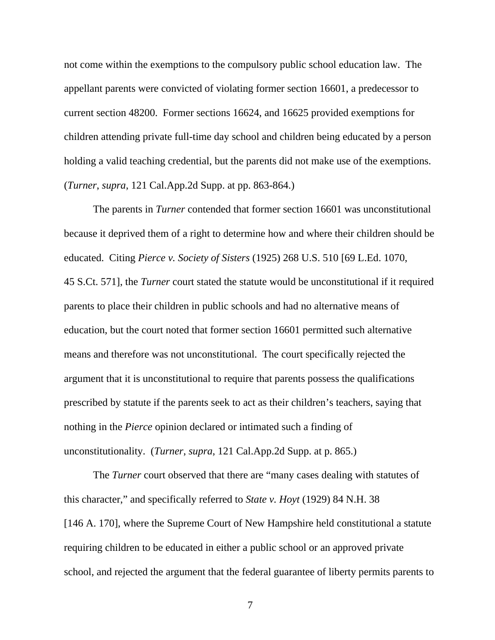not come within the exemptions to the compulsory public school education law. The appellant parents were convicted of violating former section 16601, a predecessor to current section 48200. Former sections 16624, and 16625 provided exemptions for children attending private full-time day school and children being educated by a person holding a valid teaching credential, but the parents did not make use of the exemptions. (*Turner*, *supra*, 121 Cal.App.2d Supp. at pp. 863-864.)

 The parents in *Turner* contended that former section 16601 was unconstitutional because it deprived them of a right to determine how and where their children should be educated. Citing *Pierce v. Society of Sisters* (1925) 268 U.S. 510 [69 L.Ed. 1070, 45 S.Ct. 571], the *Turner* court stated the statute would be unconstitutional if it required parents to place their children in public schools and had no alternative means of education, but the court noted that former section 16601 permitted such alternative means and therefore was not unconstitutional. The court specifically rejected the argument that it is unconstitutional to require that parents possess the qualifications prescribed by statute if the parents seek to act as their children's teachers, saying that nothing in the *Pierce* opinion declared or intimated such a finding of unconstitutionality. (*Turner*, *supra*, 121 Cal.App.2d Supp. at p. 865.)

 The *Turner* court observed that there are "many cases dealing with statutes of this character," and specifically referred to *State v. Hoyt* (1929) 84 N.H. 38 [146 A. 170], where the Supreme Court of New Hampshire held constitutional a statute requiring children to be educated in either a public school or an approved private school, and rejected the argument that the federal guarantee of liberty permits parents to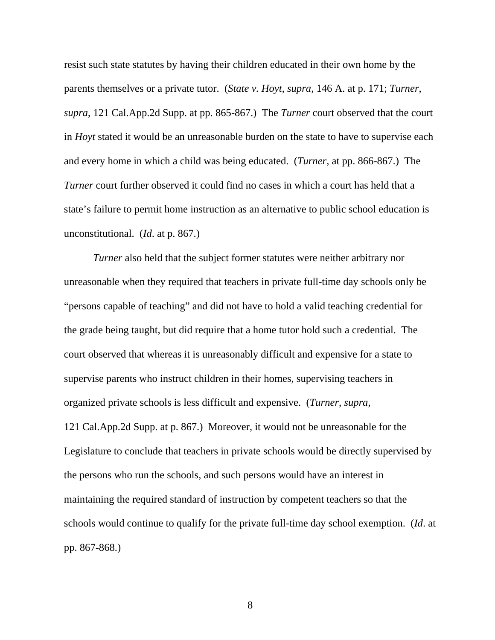resist such state statutes by having their children educated in their own home by the parents themselves or a private tutor. (*State v. Hoyt*, *supra*, 146 A. at p. 171; *Turner*, *supra*, 121 Cal.App.2d Supp. at pp. 865-867.) The *Turner* court observed that the court in *Hoyt* stated it would be an unreasonable burden on the state to have to supervise each and every home in which a child was being educated. (*Turner*, at pp. 866-867.) The *Turner* court further observed it could find no cases in which a court has held that a state's failure to permit home instruction as an alternative to public school education is unconstitutional. (*Id*. at p. 867.)

*Turner* also held that the subject former statutes were neither arbitrary nor unreasonable when they required that teachers in private full-time day schools only be "persons capable of teaching" and did not have to hold a valid teaching credential for the grade being taught, but did require that a home tutor hold such a credential. The court observed that whereas it is unreasonably difficult and expensive for a state to supervise parents who instruct children in their homes, supervising teachers in organized private schools is less difficult and expensive. (*Turner*, *supra*, 121 Cal.App.2d Supp. at p. 867.) Moreover, it would not be unreasonable for the Legislature to conclude that teachers in private schools would be directly supervised by the persons who run the schools, and such persons would have an interest in maintaining the required standard of instruction by competent teachers so that the schools would continue to qualify for the private full-time day school exemption. (*Id*. at pp. 867-868.)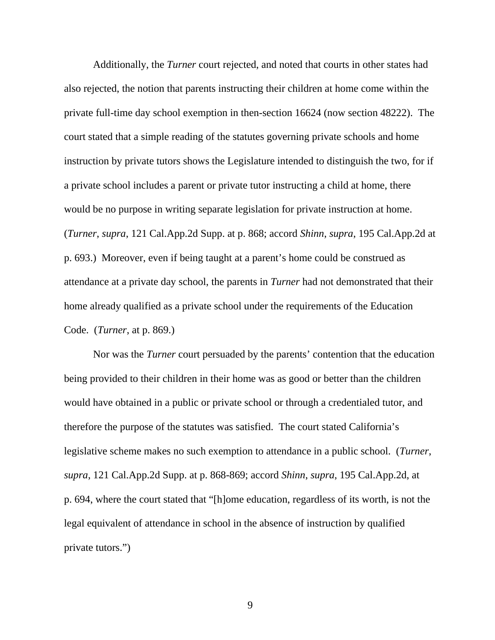Additionally, the *Turner* court rejected, and noted that courts in other states had also rejected, the notion that parents instructing their children at home come within the private full-time day school exemption in then-section 16624 (now section 48222). The court stated that a simple reading of the statutes governing private schools and home instruction by private tutors shows the Legislature intended to distinguish the two, for if a private school includes a parent or private tutor instructing a child at home, there would be no purpose in writing separate legislation for private instruction at home. (*Turner*, *supra*, 121 Cal.App.2d Supp. at p. 868; accord *Shinn*, *supra*, 195 Cal.App.2d at p. 693.) Moreover, even if being taught at a parent's home could be construed as attendance at a private day school, the parents in *Turner* had not demonstrated that their home already qualified as a private school under the requirements of the Education Code. (*Turner*, at p. 869.)

 Nor was the *Turner* court persuaded by the parents' contention that the education being provided to their children in their home was as good or better than the children would have obtained in a public or private school or through a credentialed tutor, and therefore the purpose of the statutes was satisfied. The court stated California's legislative scheme makes no such exemption to attendance in a public school. (*Turner*, *supra*, 121 Cal.App.2d Supp. at p. 868-869; accord *Shinn*, *supra*, 195 Cal.App.2d, at p. 694, where the court stated that "[h]ome education, regardless of its worth, is not the legal equivalent of attendance in school in the absence of instruction by qualified private tutors.")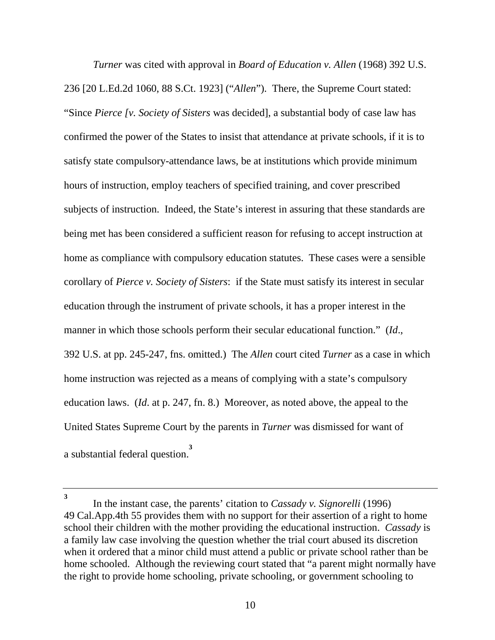*Turner* was cited with approval in *Board of Education v. Allen* (1968) 392 U.S. 236 [20 L.Ed.2d 1060, 88 S.Ct. 1923] ("*Allen*"). There, the Supreme Court stated: "Since *Pierce [v. Society of Sisters* was decided], a substantial body of case law has confirmed the power of the States to insist that attendance at private schools, if it is to satisfy state compulsory-attendance laws, be at institutions which provide minimum hours of instruction, employ teachers of specified training, and cover prescribed subjects of instruction. Indeed, the State's interest in assuring that these standards are being met has been considered a sufficient reason for refusing to accept instruction at home as compliance with compulsory education statutes. These cases were a sensible corollary of *Pierce v. Society of Sisters*: if the State must satisfy its interest in secular education through the instrument of private schools, it has a proper interest in the manner in which those schools perform their secular educational function." (*Id*., 392 U.S. at pp. 245-247, fns. omitted.) The *Allen* court cited *Turner* as a case in which home instruction was rejected as a means of complying with a state's compulsory education laws. (*Id*. at p. 247, fn. 8.) Moreover, as noted above, the appeal to the United States Supreme Court by the parents in *Turner* was dismissed for want of a substantial federal question. **3**

**<sup>3</sup>** In the instant case, the parents' citation to *Cassady v. Signorelli* (1996) 49 Cal.App.4th 55 provides them with no support for their assertion of a right to home school their children with the mother providing the educational instruction. *Cassady* is a family law case involving the question whether the trial court abused its discretion when it ordered that a minor child must attend a public or private school rather than be home schooled. Although the reviewing court stated that "a parent might normally have the right to provide home schooling, private schooling, or government schooling to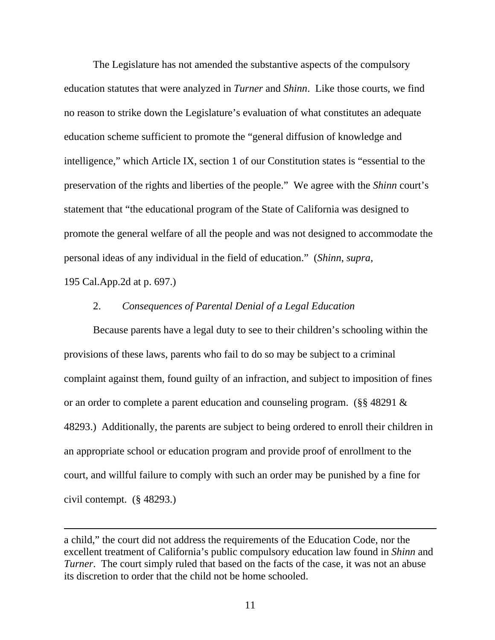The Legislature has not amended the substantive aspects of the compulsory education statutes that were analyzed in *Turner* and *Shinn*. Like those courts, we find no reason to strike down the Legislature's evaluation of what constitutes an adequate education scheme sufficient to promote the "general diffusion of knowledge and intelligence," which Article IX, section 1 of our Constitution states is "essential to the preservation of the rights and liberties of the people." We agree with the *Shinn* court's statement that "the educational program of the State of California was designed to promote the general welfare of all the people and was not designed to accommodate the personal ideas of any individual in the field of education." (*Shinn*, *supra*,

195 Cal.App.2d at p. 697.)

 $\overline{a}$ 

### 2. *Consequences of Parental Denial of a Legal Education*

 Because parents have a legal duty to see to their children's schooling within the provisions of these laws, parents who fail to do so may be subject to a criminal complaint against them, found guilty of an infraction, and subject to imposition of fines or an order to complete a parent education and counseling program. (§§ 48291 & 48293.) Additionally, the parents are subject to being ordered to enroll their children in an appropriate school or education program and provide proof of enrollment to the court, and willful failure to comply with such an order may be punished by a fine for civil contempt. (§ 48293.)

a child," the court did not address the requirements of the Education Code, nor the excellent treatment of California's public compulsory education law found in *Shinn* and *Turner*. The court simply ruled that based on the facts of the case, it was not an abuse its discretion to order that the child not be home schooled.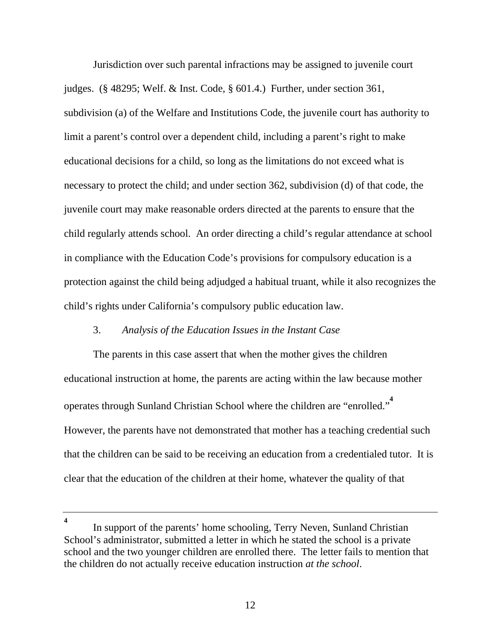Jurisdiction over such parental infractions may be assigned to juvenile court judges. (§ 48295; Welf. & Inst. Code, § 601.4.) Further, under section 361, subdivision (a) of the Welfare and Institutions Code, the juvenile court has authority to limit a parent's control over a dependent child, including a parent's right to make educational decisions for a child, so long as the limitations do not exceed what is necessary to protect the child; and under section 362, subdivision (d) of that code, the juvenile court may make reasonable orders directed at the parents to ensure that the child regularly attends school. An order directing a child's regular attendance at school in compliance with the Education Code's provisions for compulsory education is a protection against the child being adjudged a habitual truant, while it also recognizes the child's rights under California's compulsory public education law.

## 3. *Analysis of the Education Issues in the Instant Case*

 The parents in this case assert that when the mother gives the children educational instruction at home, the parents are acting within the law because mother operates through Sunland Christian School where the children are "enrolled." **4** However, the parents have not demonstrated that mother has a teaching credential such that the children can be said to be receiving an education from a credentialed tutor. It is clear that the education of the children at their home, whatever the quality of that

**<sup>4</sup>** In support of the parents' home schooling, Terry Neven, Sunland Christian School's administrator, submitted a letter in which he stated the school is a private school and the two younger children are enrolled there. The letter fails to mention that the children do not actually receive education instruction *at the school*.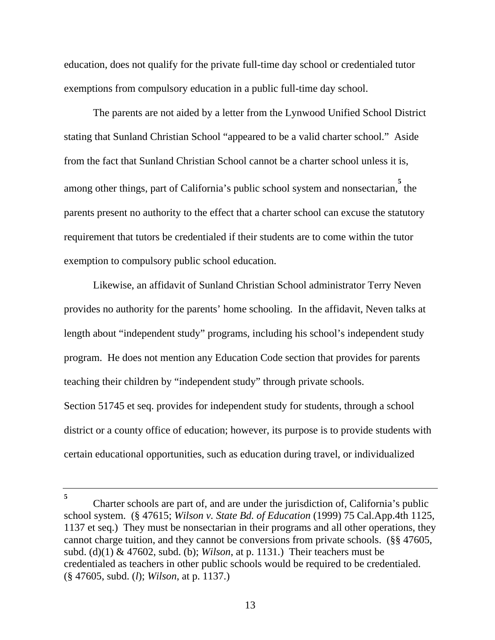education, does not qualify for the private full-time day school or credentialed tutor exemptions from compulsory education in a public full-time day school.

 The parents are not aided by a letter from the Lynwood Unified School District stating that Sunland Christian School "appeared to be a valid charter school." Aside from the fact that Sunland Christian School cannot be a charter school unless it is, among other things, part of California's public school system and nonsectarian, the parents present no authority to the effect that a charter school can excuse the statutory requirement that tutors be credentialed if their students are to come within the tutor exemption to compulsory public school education.

 Likewise, an affidavit of Sunland Christian School administrator Terry Neven provides no authority for the parents' home schooling. In the affidavit, Neven talks at length about "independent study" programs, including his school's independent study program. He does not mention any Education Code section that provides for parents teaching their children by "independent study" through private schools. Section 51745 et seq. provides for independent study for students, through a school district or a county office of education; however, its purpose is to provide students with certain educational opportunities, such as education during travel, or individualized

**<sup>5</sup>** Charter schools are part of, and are under the jurisdiction of, California's public school system. (§ 47615; *Wilson v. State Bd. of Education* (1999) 75 Cal.App.4th 1125, 1137 et seq.) They must be nonsectarian in their programs and all other operations, they cannot charge tuition, and they cannot be conversions from private schools. (§§ 47605, subd. (d)(1) & 47602, subd. (b); *Wilson*, at p. 1131.) Their teachers must be credentialed as teachers in other public schools would be required to be credentialed. (§ 47605, subd. (*l*); *Wilson*, at p. 1137.)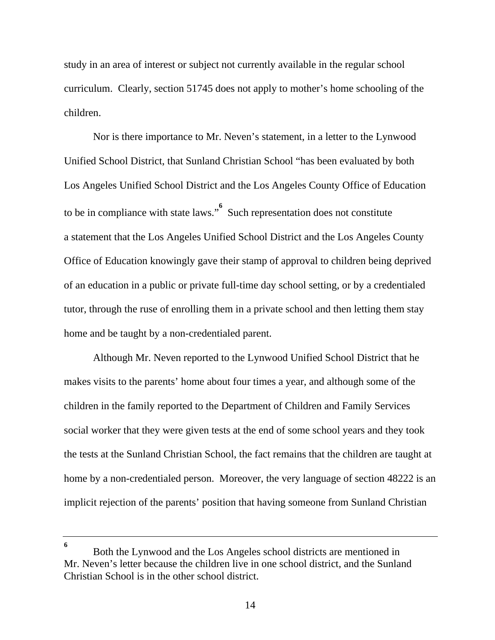study in an area of interest or subject not currently available in the regular school curriculum. Clearly, section 51745 does not apply to mother's home schooling of the children.

 Nor is there importance to Mr. Neven's statement, in a letter to the Lynwood Unified School District, that Sunland Christian School "has been evaluated by both Los Angeles Unified School District and the Los Angeles County Office of Education to be in compliance with state laws."<sup>6</sup> Such representation does not constitute a statement that the Los Angeles Unified School District and the Los Angeles County Office of Education knowingly gave their stamp of approval to children being deprived of an education in a public or private full-time day school setting, or by a credentialed tutor, through the ruse of enrolling them in a private school and then letting them stay home and be taught by a non-credentialed parent.

 Although Mr. Neven reported to the Lynwood Unified School District that he makes visits to the parents' home about four times a year, and although some of the children in the family reported to the Department of Children and Family Services social worker that they were given tests at the end of some school years and they took the tests at the Sunland Christian School, the fact remains that the children are taught at home by a non-credentialed person. Moreover, the very language of section 48222 is an implicit rejection of the parents' position that having someone from Sunland Christian

Both the Lynwood and the Los Angeles school districts are mentioned in Mr. Neven's letter because the children live in one school district, and the Sunland Christian School is in the other school district.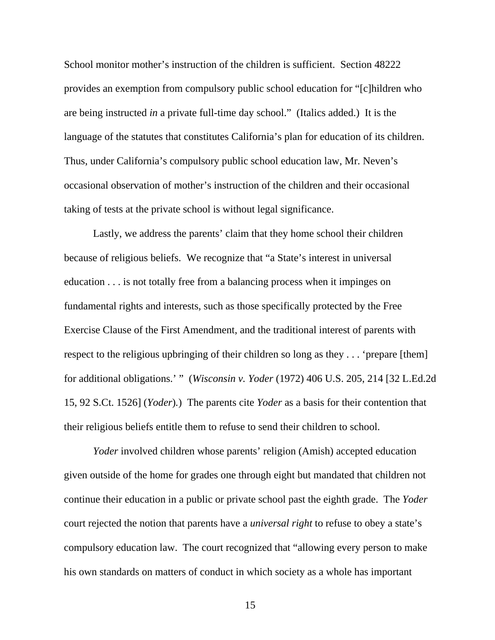School monitor mother's instruction of the children is sufficient. Section 48222 provides an exemption from compulsory public school education for "[c]hildren who are being instructed *in* a private full-time day school." (Italics added.) It is the language of the statutes that constitutes California's plan for education of its children. Thus, under California's compulsory public school education law, Mr. Neven's occasional observation of mother's instruction of the children and their occasional taking of tests at the private school is without legal significance.

 Lastly, we address the parents' claim that they home school their children because of religious beliefs. We recognize that "a State's interest in universal education . . . is not totally free from a balancing process when it impinges on fundamental rights and interests, such as those specifically protected by the Free Exercise Clause of the First Amendment, and the traditional interest of parents with respect to the religious upbringing of their children so long as they . . . 'prepare [them] for additional obligations.' " (*Wisconsin v. Yoder* (1972) 406 U.S. 205, 214 [32 L.Ed.2d 15, 92 S.Ct. 1526] (*Yoder*)*.*) The parents cite *Yoder* as a basis for their contention that their religious beliefs entitle them to refuse to send their children to school.

*Yoder* involved children whose parents' religion (Amish) accepted education given outside of the home for grades one through eight but mandated that children not continue their education in a public or private school past the eighth grade. The *Yoder* court rejected the notion that parents have a *universal right* to refuse to obey a state's compulsory education law. The court recognized that "allowing every person to make his own standards on matters of conduct in which society as a whole has important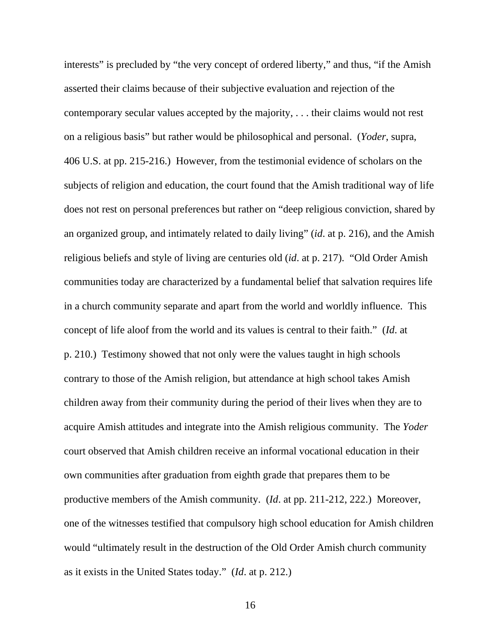interests" is precluded by "the very concept of ordered liberty," and thus, "if the Amish asserted their claims because of their subjective evaluation and rejection of the contemporary secular values accepted by the majority, . . . their claims would not rest on a religious basis" but rather would be philosophical and personal. (*Yoder*, supra, 406 U.S. at pp. 215-216.) However, from the testimonial evidence of scholars on the subjects of religion and education, the court found that the Amish traditional way of life does not rest on personal preferences but rather on "deep religious conviction, shared by an organized group, and intimately related to daily living" (*id*. at p. 216), and the Amish religious beliefs and style of living are centuries old (*id*. at p. 217). "Old Order Amish communities today are characterized by a fundamental belief that salvation requires life in a church community separate and apart from the world and worldly influence. This concept of life aloof from the world and its values is central to their faith." (*Id*. at p. 210.) Testimony showed that not only were the values taught in high schools contrary to those of the Amish religion, but attendance at high school takes Amish children away from their community during the period of their lives when they are to acquire Amish attitudes and integrate into the Amish religious community. The *Yoder* court observed that Amish children receive an informal vocational education in their own communities after graduation from eighth grade that prepares them to be productive members of the Amish community. (*Id*. at pp. 211-212, 222.) Moreover, one of the witnesses testified that compulsory high school education for Amish children would "ultimately result in the destruction of the Old Order Amish church community as it exists in the United States today." (*Id*. at p. 212.)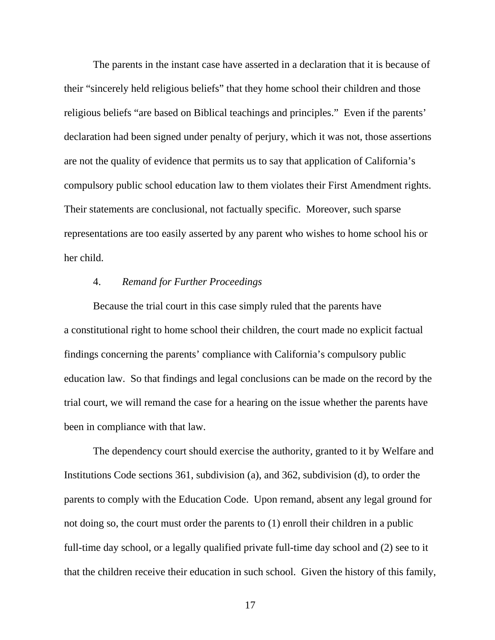The parents in the instant case have asserted in a declaration that it is because of their "sincerely held religious beliefs" that they home school their children and those religious beliefs "are based on Biblical teachings and principles." Even if the parents' declaration had been signed under penalty of perjury, which it was not, those assertions are not the quality of evidence that permits us to say that application of California's compulsory public school education law to them violates their First Amendment rights. Their statements are conclusional, not factually specific. Moreover, such sparse representations are too easily asserted by any parent who wishes to home school his or her child.

#### 4. *Remand for Further Proceedings*

 Because the trial court in this case simply ruled that the parents have a constitutional right to home school their children, the court made no explicit factual findings concerning the parents' compliance with California's compulsory public education law. So that findings and legal conclusions can be made on the record by the trial court, we will remand the case for a hearing on the issue whether the parents have been in compliance with that law.

 The dependency court should exercise the authority, granted to it by Welfare and Institutions Code sections 361, subdivision (a), and 362, subdivision (d), to order the parents to comply with the Education Code. Upon remand, absent any legal ground for not doing so, the court must order the parents to (1) enroll their children in a public full-time day school, or a legally qualified private full-time day school and (2) see to it that the children receive their education in such school. Given the history of this family,